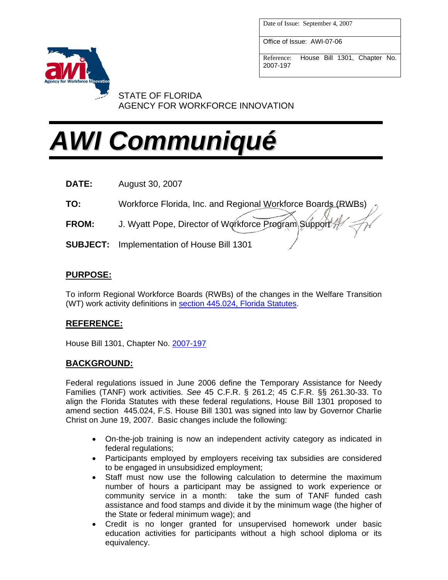Date of Issue: September 4, 2007

Office of Issue: AWI-07-06

Reference: House Bill 1301, Chapter No. 2007-197



 STATE OF FLORIDA AGENCY FOR WORKFORCE INNOVATION

# *AWI Communiqué*

**DATE:** August 30, 2007

**TO:** Workforce Florida, Inc. and Regional Workforce Boards (RWBs)

FROM: J. Wyatt Pope, Director of Workforce Program Support

**SUBJECT:** Implementation of House Bill 1301

## **PURPOSE:**

To inform Regional Workforce Boards (RWBs) of the changes in the Welfare Transition (WT) work activity definitions in [section 445.024, Florida Statutes](http://www.flsenate.gov/statutes/index.cfm?App_mode=Display_Statute&URL=Ch0445/titl0445.htm&StatuteYear=2007&Title=%2D%3E2007%2D%3EChapter%20445).

## **REFERENCE:**

House Bill 1301, Chapter No. [2007-197](http://election.dos.state.fl.us/laws/07laws/ch_2007-197.pdf)

#### **BACKGROUND:**

Federal regulations issued in June 2006 define the Temporary Assistance for Needy Families (TANF) work activities. *See* 45 C.F.R. § 261.2; 45 C.F.R. §§ 261.30-33. To align the Florida Statutes with these federal regulations, House Bill 1301 proposed to amend section 445.024, F.S. House Bill 1301 was signed into law by Governor Charlie Christ on June 19, 2007. Basic changes include the following:

- On-the-job training is now an independent activity category as indicated in federal regulations;
- Participants employed by employers receiving tax subsidies are considered to be engaged in unsubsidized employment;
- Staff must now use the following calculation to determine the maximum number of hours a participant may be assigned to work experience or community service in a month: take the sum of TANF funded cash assistance and food stamps and divide it by the minimum wage (the higher of the State or federal minimum wage); and
- Credit is no longer granted for unsupervised homework under basic education activities for participants without a high school diploma or its equivalency.